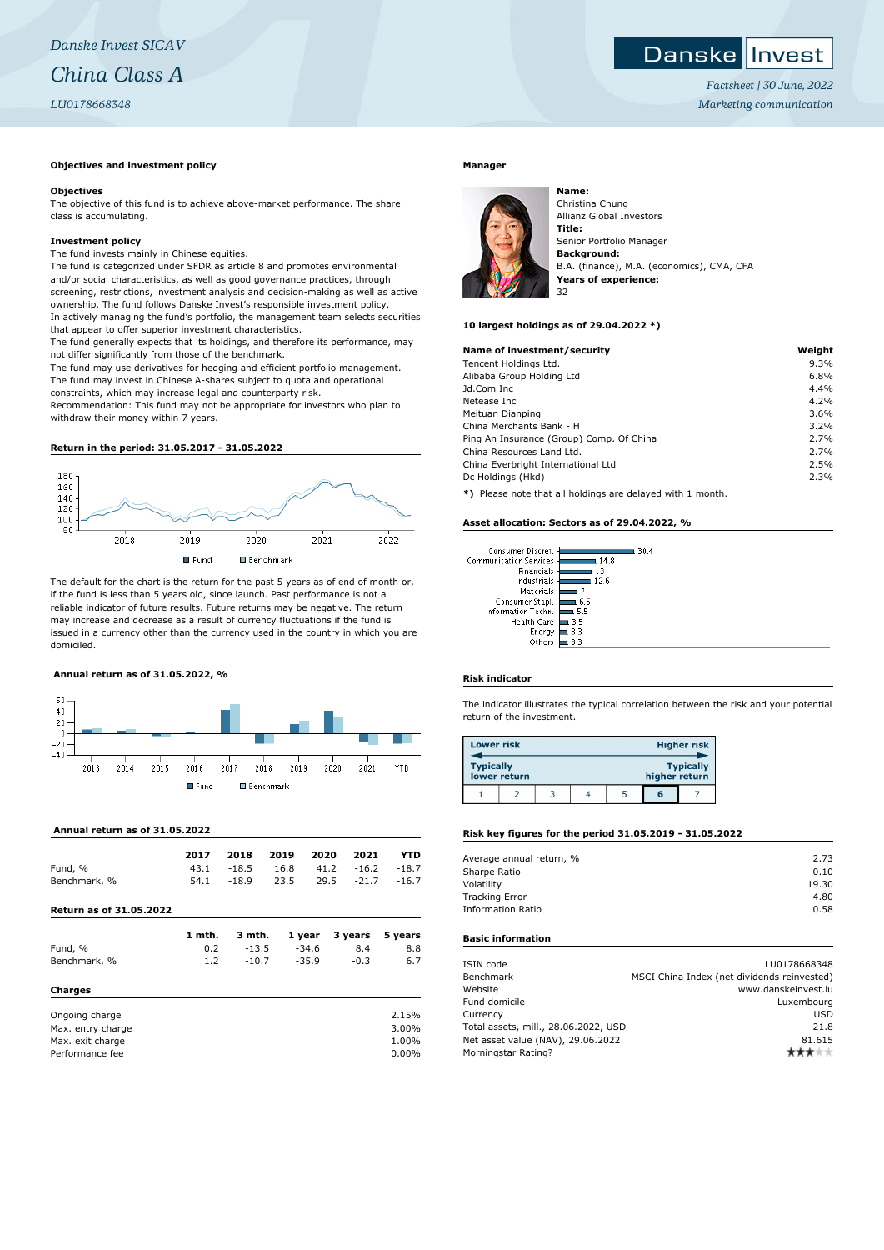# **Danske Invest**

*Factsheet | 30 June, 2022 Marketing communication*

#### **Objectives and investment policy**

#### **Objectives**

The objective of this fund is to achieve above-market performance. The share class is accumulating.

#### **Investment policy**

The fund invests mainly in Chinese equities.

The fund is categorized under SFDR as article 8 and promotes environmental and/or social characteristics, as well as good governance practices, through screening, restrictions, investment analysis and decision-making as well as active ownership. The fund follows Danske Invest's responsible investment policy. In actively managing the fund's portfolio, the management team selects securities that appear to offer superior investment characteristics.

The fund generally expects that its holdings, and therefore its performance, may not differ significantly from those of the benchmark.

The fund may use derivatives for hedging and efficient portfolio management. The fund may invest in Chinese A-shares subject to quota and operational constraints, which may increase legal and counterparty risk.

Recommendation: This fund may not be appropriate for investors who plan to withdraw their money within 7 years.

#### **Return in the period: 31.05.2017 - 31.05.2022**



The default for the chart is the return for the past 5 years as of end of month or, if the fund is less than 5 years old, since launch. Past performance is not a reliable indicator of future results. Future returns may be negative. The return may increase and decrease as a result of currency fluctuations if the fund is issued in a currency other than the currency used in the country in which you are domiciled.





 **Annual return as of 31.05.2022**

|                                | 2017   | 2018    | 2019 | 2020    | 2021    | YTD     |
|--------------------------------|--------|---------|------|---------|---------|---------|
| Fund, %                        | 43.1   | $-18.5$ | 16.8 | 41.2    | $-16.2$ | $-18.7$ |
| Benchmark, %                   | 54.1   | $-18.9$ | 23.5 | 29.5    | $-21.7$ | $-16.7$ |
| <b>Return as of 31.05.2022</b> |        |         |      |         |         |         |
|                                | 1 mth. | 3 mth.  |      | 1 year  | 3 years | 5 years |
| Fund, %                        | 0.2    | $-13.5$ |      | $-34.6$ | 8.4     | 8.8     |
| Benchmark, %                   | 1.2    | $-10.7$ |      | $-35.9$ | $-0.3$  | 6.7     |
| <b>Charges</b>                 |        |         |      |         |         |         |
| Ongoing charge                 |        |         |      |         |         | 2.15%   |
| Max. entry charge              |        |         |      |         |         | 3.00%   |
| Max. exit charge               |        |         |      |         |         | 1.00%   |

Performance fee 0.00%

## **Manager**



Christina Chung Allianz Global Investors **Title:** Senior Portfolio Manager **Background:** B.A. (finance), M.A. (economics), CMA, CFA **Years of experience:** 32

#### **10 largest holdings as of 29.04.2022 \*)**

**Name:**

| Name of investment/security                               | Weight |
|-----------------------------------------------------------|--------|
| Tencent Holdings Ltd.                                     | 9.3%   |
| Alibaba Group Holding Ltd                                 | 6.8%   |
| Jd.Com Inc.                                               | 4.4%   |
| Netease Inc.                                              | 4.2%   |
| Meituan Dianping                                          | 3.6%   |
| China Merchants Bank - H                                  | 3.2%   |
| Ping An Insurance (Group) Comp. Of China                  | 2.7%   |
| China Resources Land Ltd.                                 | 2.7%   |
| China Everbright International Ltd                        | 2.5%   |
| Dc Holdings (Hkd)                                         | 2.3%   |
| *) Please note that all holdings are delayed with 1 month |        |

**e** note that all holdings are delayed with 1 month.

#### **Asset allocation: Sectors as of 29.04.2022, %**

| Consumer Discret.             | 30.4 |
|-------------------------------|------|
| <b>Communication Services</b> | 148  |
| Financials                    | 13   |
| Industrials                   | 12 R |
| Materials                     |      |
| Consumer Stapl.               | 6.5  |
| Information Techn.            | 55   |
| <b>Health Care</b>            | 3.5  |
| Energy                        | 3.3  |
| Others                        |      |

#### **Risk indicator**

The indicator illustrates the typical correlation between the risk and your potential return of the investment.

| <b>Lower risk</b> |              |  |               | <b>Higher risk</b> |
|-------------------|--------------|--|---------------|--------------------|
| <b>Typically</b>  | lower return |  | higher return | <b>Typically</b>   |
|                   |              |  | 6             |                    |

#### **Risk key figures for the period 31.05.2019 - 31.05.2022**

| Average annual return, % | 2.73  |
|--------------------------|-------|
| Sharpe Ratio             | 0.10  |
| Volatility               | 19.30 |
| <b>Tracking Error</b>    | 4.80  |
| Information Ratio        | 0.58  |
|                          |       |

### **Basic information**

| ISIN code                            | LU0178668348                                |
|--------------------------------------|---------------------------------------------|
| Benchmark                            | MSCI China Index (net dividends reinvested) |
| Website                              | www.danskeinvest.lu                         |
| Fund domicile                        | Luxembourg                                  |
| Currency                             | <b>USD</b>                                  |
| Total assets, mill., 28.06.2022, USD | 21.8                                        |
| Net asset value (NAV), 29.06.2022    | 81.615                                      |
| Morningstar Rating?                  |                                             |